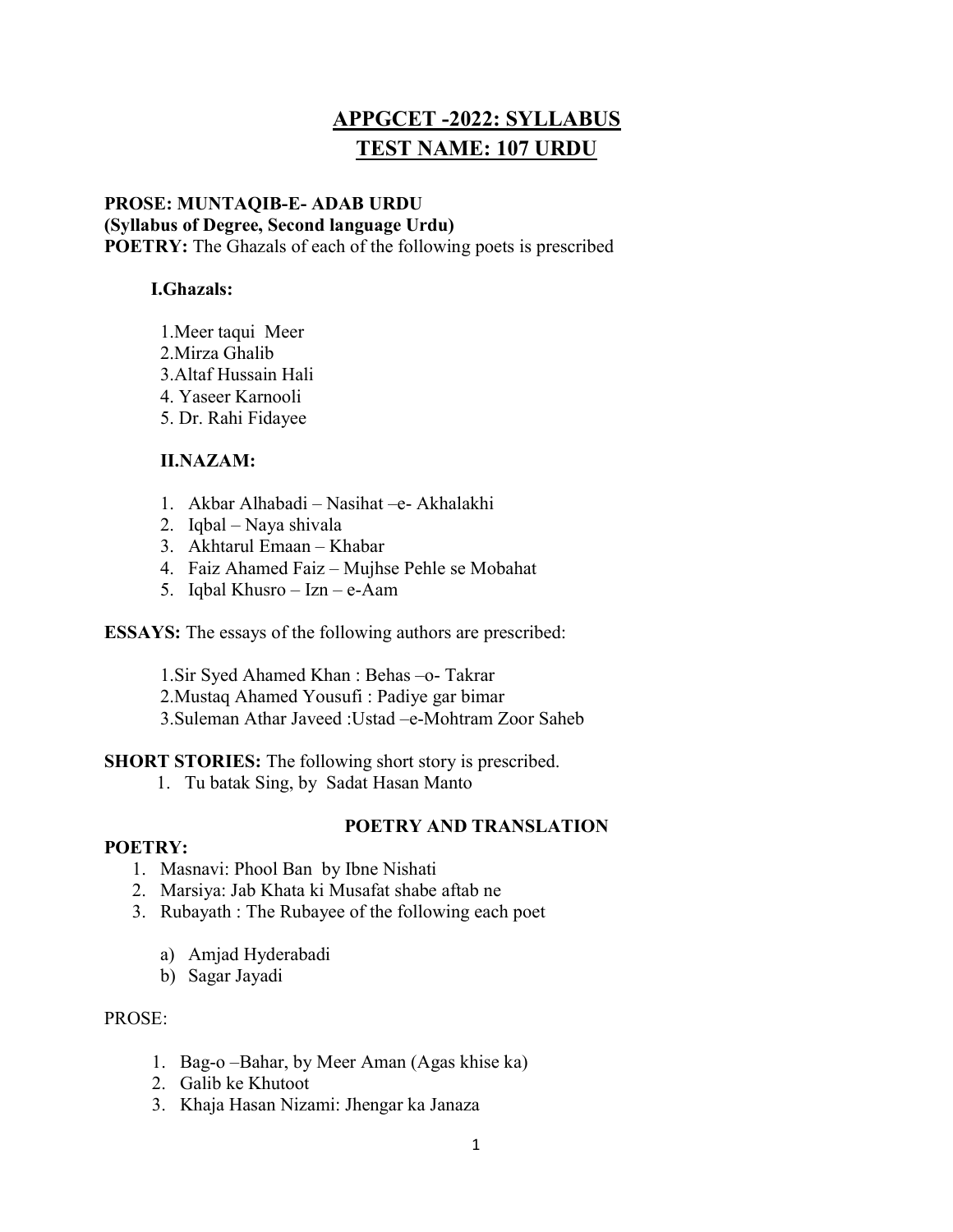# APPGCET -2022: SYLLABUS TEST NAME: 107 URDU

# PROSE: MUNTAQIB-E- ADAB URDU (Syllabus of Degree, Second language Urdu) POETRY: The Ghazals of each of the following poets is prescribed

# I.Ghazals:

- 1.Meer taqui Meer
- 2.Mirza Ghalib
- 3.Altaf Hussain Hali
- 4. Yaseer Karnooli
- 5. Dr. Rahi Fidayee

# II.NAZAM:

- 1. Akbar Alhabadi Nasihat –e- Akhalakhi
- 2. Iqbal Naya shivala
- 3. Akhtarul Emaan Khabar
- 4. Faiz Ahamed Faiz Mujhse Pehle se Mobahat
- 5. Iqbal Khusro Izn e-Aam

ESSAYS: The essays of the following authors are prescribed:

1.Sir Syed Ahamed Khan : Behas –o- Takrar

2.Mustaq Ahamed Yousufi : Padiye gar bimar

3.Suleman Athar Javeed :Ustad –e-Mohtram Zoor Saheb

SHORT STORIES: The following short story is prescribed.

1. Tu batak Sing, by Sadat Hasan Manto

# POETRY AND TRANSLATION

# POETRY:

- 1. Masnavi: Phool Ban by Ibne Nishati
- 2. Marsiya: Jab Khata ki Musafat shabe aftab ne
- 3. Rubayath : The Rubayee of the following each poet
	- a) Amjad Hyderabadi
	- b) Sagar Jayadi

# PROSE:

- 1. Bag-o –Bahar, by Meer Aman (Agas khise ka)
- 2. Galib ke Khutoot
- 3. Khaja Hasan Nizami: Jhengar ka Janaza